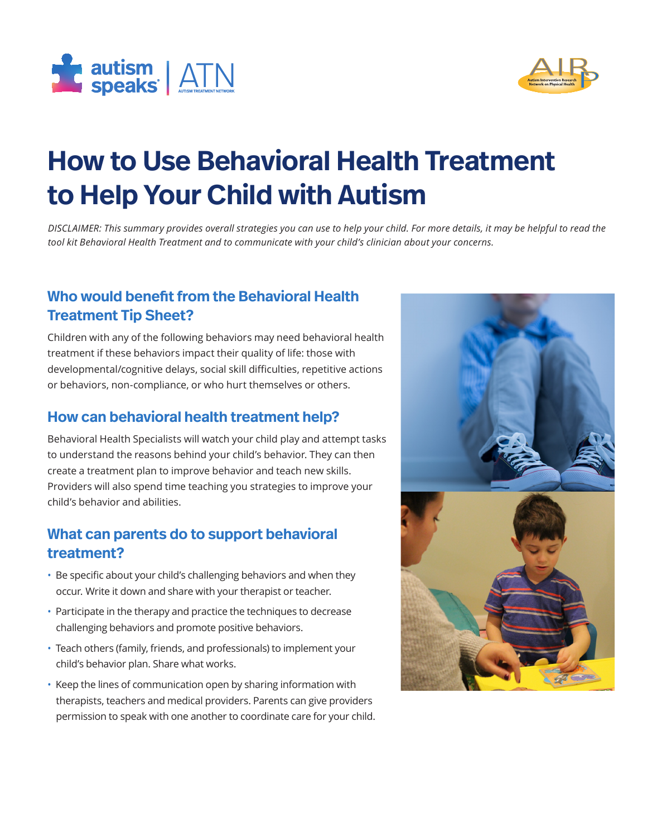



# **How to Use Behavioral Health Treatment to Help Your Child with Autism**

*DISCLAIMER: This summary provides overall strategies you can use to help your child. For more details, it may be helpful to read the tool kit Behavioral Health Treatment and to communicate with your child's clinician about your concerns.*

### **Who would benefit from the Behavioral Health Treatment Tip Sheet?**

Children with any of the following behaviors may need behavioral health treatment if these behaviors impact their quality of life: those with developmental/cognitive delays, social skill difficulties, repetitive actions or behaviors, non-compliance, or who hurt themselves or others.

#### **How can behavioral health treatment help?**

Behavioral Health Specialists will watch your child play and attempt tasks to understand the reasons behind your child's behavior. They can then create a treatment plan to improve behavior and teach new skills. Providers will also spend time teaching you strategies to improve your child's behavior and abilities.

#### **What can parents do to support behavioral treatment?**

- Be specific about your child's challenging behaviors and when they occur. Write it down and share with your therapist or teacher.
- Participate in the therapy and practice the techniques to decrease challenging behaviors and promote positive behaviors.
- Teach others (family, friends, and professionals) to implement your child's behavior plan. Share what works.
- Keep the lines of communication open by sharing information with therapists, teachers and medical providers. Parents can give providers permission to speak with one another to coordinate care for your child.